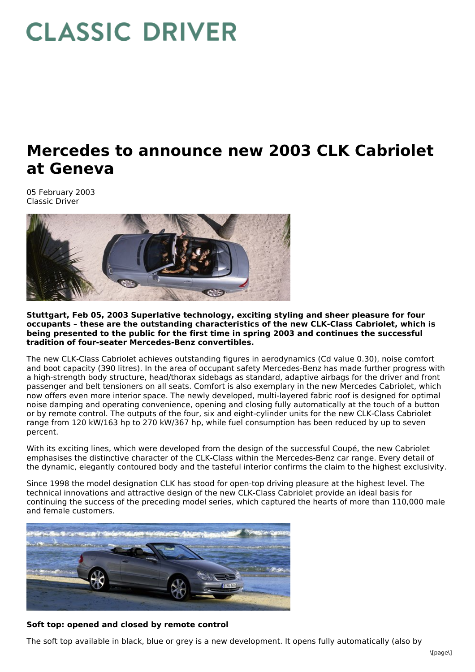# **CLASSIC DRIVER**

# **Mercedes to announce new 2003 CLK Cabriolet at Geneva**

05 February 2003 Classic Driver



**Stuttgart, Feb 05, 2003 Superlative technology, exciting styling and sheer pleasure for four occupants – these are the outstanding characteristics of the new CLK-Class Cabriolet, which is being presented to the public for the first time in spring 2003 and continues the successful tradition of four-seater Mercedes-Benz convertibles.**

The new CLK-Class Cabriolet achieves outstanding figures in aerodynamics (Cd value 0.30), noise comfort and boot capacity (390 litres). In the area of occupant safety Mercedes-Benz has made further progress with a high-strength body structure, head/thorax sidebags as standard, adaptive airbags for the driver and front passenger and belt tensioners on all seats. Comfort is also exemplary in the new Mercedes Cabriolet, which now offers even more interior space. The newly developed, multi-layered fabric roof is designed for optimal noise damping and operating convenience, opening and closing fully automatically at the touch of a button or by remote control. The outputs of the four, six and eight-cylinder units for the new CLK-Class Cabriolet range from 120 kW/163 hp to 270 kW/367 hp, while fuel consumption has been reduced by up to seven percent.

With its exciting lines, which were developed from the design of the successful Coupé, the new Cabriolet emphasises the distinctive character of the CLK-Class within the Mercedes-Benz car range. Every detail of the dynamic, elegantly contoured body and the tasteful interior confirms the claim to the highest exclusivity.

Since 1998 the model designation CLK has stood for open-top driving pleasure at the highest level. The technical innovations and attractive design of the new CLK-Class Cabriolet provide an ideal basis for continuing the success of the preceding model series, which captured the hearts of more than 110,000 male and female customers.



# **Soft top: opened and closed by remote control**

The soft top available in black, blue or grey is a new development. It opens fully automatically (also by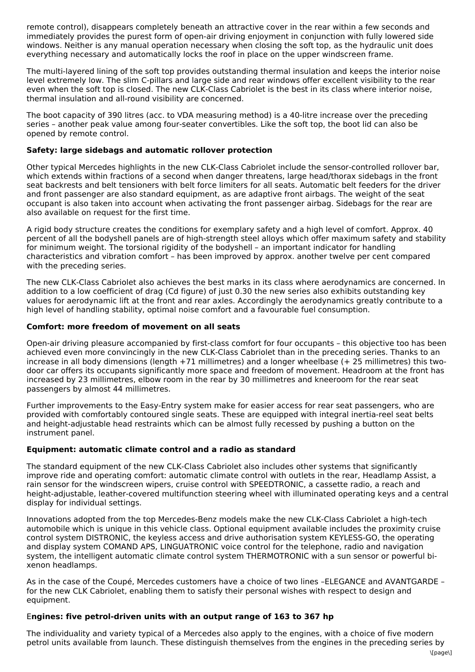remote control), disappears completely beneath an attractive cover in the rear within a few seconds and immediately provides the purest form of open-air driving enjoyment in conjunction with fully lowered side windows. Neither is any manual operation necessary when closing the soft top, as the hydraulic unit does everything necessary and automatically locks the roof in place on the upper windscreen frame.

The multi-layered lining of the soft top provides outstanding thermal insulation and keeps the interior noise level extremely low. The slim C-pillars and large side and rear windows offer excellent visibility to the rear even when the soft top is closed. The new CLK-Class Cabriolet is the best in its class where interior noise, thermal insulation and all-round visibility are concerned.

The boot capacity of 390 litres (acc. to VDA measuring method) is a 40-litre increase over the preceding series – another peak value among four-seater convertibles. Like the soft top, the boot lid can also be opened by remote control.

## **Safety: large sidebags and automatic rollover protection**

Other typical Mercedes highlights in the new CLK-Class Cabriolet include the sensor-controlled rollover bar, which extends within fractions of a second when danger threatens, large head/thorax sidebags in the front seat backrests and belt tensioners with belt force limiters for all seats. Automatic belt feeders for the driver and front passenger are also standard equipment, as are adaptive front airbags. The weight of the seat occupant is also taken into account when activating the front passenger airbag. Sidebags for the rear are also available on request for the first time.

A rigid body structure creates the conditions for exemplary safety and a high level of comfort. Approx. 40 percent of all the bodyshell panels are of high-strength steel alloys which offer maximum safety and stability for minimum weight. The torsional rigidity of the bodyshell – an important indicator for handling characteristics and vibration comfort – has been improved by approx. another twelve per cent compared with the preceding series.

The new CLK-Class Cabriolet also achieves the best marks in its class where aerodynamics are concerned. In addition to a low coefficient of drag (Cd figure) of just 0.30 the new series also exhibits outstanding key values for aerodynamic lift at the front and rear axles. Accordingly the aerodynamics greatly contribute to a high level of handling stability, optimal noise comfort and a favourable fuel consumption.

# **Comfort: more freedom of movement on all seats**

Open-air driving pleasure accompanied by first-class comfort for four occupants – this objective too has been achieved even more convincingly in the new CLK-Class Cabriolet than in the preceding series. Thanks to an increase in all body dimensions (length +71 millimetres) and a longer wheelbase (+ 25 millimetres) this twodoor car offers its occupants significantly more space and freedom of movement. Headroom at the front has increased by 23 millimetres, elbow room in the rear by 30 millimetres and kneeroom for the rear seat passengers by almost 44 millimetres.

Further improvements to the Easy-Entry system make for easier access for rear seat passengers, who are provided with comfortably contoured single seats. These are equipped with integral inertia-reel seat belts and height-adjustable head restraints which can be almost fully recessed by pushing a button on the instrument panel.

### **Equipment: automatic climate control and a radio as standard**

The standard equipment of the new CLK-Class Cabriolet also includes other systems that significantly improve ride and operating comfort: automatic climate control with outlets in the rear, Headlamp Assist, a rain sensor for the windscreen wipers, cruise control with SPEEDTRONIC, a cassette radio, a reach and height-adjustable, leather-covered multifunction steering wheel with illuminated operating keys and a central display for individual settings.

Innovations adopted from the top Mercedes-Benz models make the new CLK-Class Cabriolet a high-tech automobile which is unique in this vehicle class. Optional equipment available includes the proximity cruise control system DISTRONIC, the keyless access and drive authorisation system KEYLESS-GO, the operating and display system COMAND APS, LINGUATRONIC voice control for the telephone, radio and navigation system, the intelligent automatic climate control system THERMOTRONIC with a sun sensor or powerful bixenon headlamps.

As in the case of the Coupé, Mercedes customers have a choice of two lines –ELEGANCE and AVANTGARDE – for the new CLK Cabriolet, enabling them to satisfy their personal wishes with respect to design and equipment.

### E**ngines: five petrol-driven units with an output range of 163 to 367 hp**

The individuality and variety typical of a Mercedes also apply to the engines, with a choice of five modern petrol units available from launch. These distinguish themselves from the engines in the preceding series by